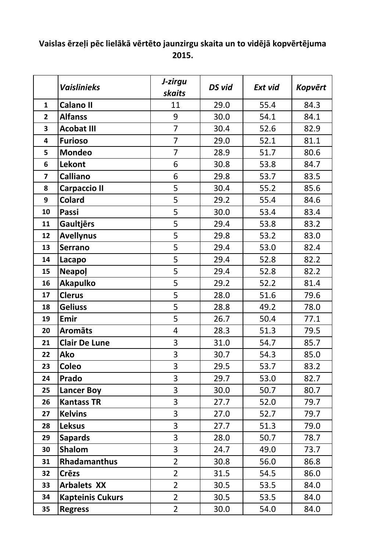## **Vaislas ērzeļi pēc lielākā vērtēto jaunzirgu skaita un to vidējā kopvērtējuma 2015.**

|                | <b>Vaislinieks</b>      | J-zirgu<br>skaits | DS vid | Ext vid | <b>Kopvērt</b> |
|----------------|-------------------------|-------------------|--------|---------|----------------|
| $\mathbf{1}$   | <b>Calano II</b>        | 11                | 29.0   | 55.4    | 84.3           |
| $\overline{2}$ | <b>Alfanss</b>          | 9                 | 30.0   | 54.1    | 84.1           |
| 3              | <b>Acobat III</b>       | $\overline{7}$    | 30.4   | 52.6    | 82.9           |
| 4              | <b>Furioso</b>          | $\overline{7}$    | 29.0   | 52.1    | 81.1           |
| 5              | <b>Mondeo</b>           | $\overline{7}$    | 28.9   | 51.7    | 80.6           |
| 6              | Lekont                  | 6                 | 30.8   | 53.8    | 84.7           |
| $\overline{7}$ | <b>Calliano</b>         | 6                 | 29.8   | 53.7    | 83.5           |
| 8              | <b>Carpaccio II</b>     | 5                 | 30.4   | 55.2    | 85.6           |
| 9              | <b>Colard</b>           | 5                 | 29.2   | 55.4    | 84.6           |
| 10             | Passi                   | 5                 | 30.0   | 53.4    | 83.4           |
| 11             | <b>Gaultjērs</b>        | 5                 | 29.4   | 53.8    | 83.2           |
| 12             | <b>Avellynus</b>        | 5                 | 29.8   | 53.2    | 83.0           |
| 13             | <b>Serrano</b>          | 5                 | 29.4   | 53.0    | 82.4           |
| 14             | Lacapo                  | 5                 | 29.4   | 52.8    | 82.2           |
| 15             | <b>Neapol</b>           | 5                 | 29.4   | 52.8    | 82.2           |
| 16             | <b>Akapulko</b>         | 5                 | 29.2   | 52.2    | 81.4           |
| 17             | <b>Clerus</b>           | 5                 | 28.0   | 51.6    | 79.6           |
| 18             | <b>Geliuss</b>          | 5                 | 28.8   | 49.2    | 78.0           |
| 19             | Emir                    | 5                 | 26.7   | 50.4    | 77.1           |
| 20             | <b>Aromāts</b>          | 4                 | 28.3   | 51.3    | 79.5           |
| 21             | <b>Clair De Lune</b>    | 3                 | 31.0   | 54.7    | 85.7           |
| 22             | <b>Ako</b>              | 3                 | 30.7   | 54.3    | 85.0           |
| 23             | <b>Coleo</b>            | 3                 | 29.5   | 53.7    | 83.2           |
| 24             | Prado                   | 3                 | 29.7   | 53.0    | 82.7           |
| 25             | <b>Lancer Boy</b>       | 3                 | 30.0   | 50.7    | 80.7           |
| 26             | <b>Kantass TR</b>       | 3                 | 27.7   | 52.0    | 79.7           |
| 27             | <b>Kelvins</b>          | 3                 | 27.0   | 52.7    | 79.7           |
| 28             | <b>Leksus</b>           | 3                 | 27.7   | 51.3    | 79.0           |
| 29             | <b>Sapards</b>          | 3                 | 28.0   | 50.7    | 78.7           |
| 30             | <b>Shalom</b>           | 3                 | 24.7   | 49.0    | 73.7           |
| 31             | <b>Rhadamanthus</b>     | $\overline{2}$    | 30.8   | 56.0    | 86.8           |
| 32             | <b>Crēzs</b>            | $\overline{2}$    | 31.5   | 54.5    | 86.0           |
| 33             | <b>Arbalets XX</b>      | $\overline{2}$    | 30.5   | 53.5    | 84.0           |
| 34             | <b>Kapteinis Cukurs</b> | $\overline{2}$    | 30.5   | 53.5    | 84.0           |
| 35             | <b>Regress</b>          | $\overline{2}$    | 30.0   | 54.0    | 84.0           |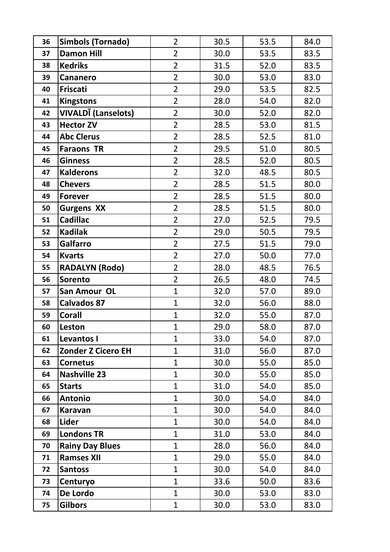| 36 | <b>Simbols (Tornado)</b>   | $\overline{2}$ | 30.5 | 53.5 | 84.0 |
|----|----------------------------|----------------|------|------|------|
| 37 | <b>Damon Hill</b>          | $\overline{2}$ | 30.0 | 53.5 | 83.5 |
| 38 | <b>Kedriks</b>             | $\overline{2}$ | 31.5 | 52.0 | 83.5 |
| 39 | Cananero                   | $\overline{2}$ | 30.0 | 53.0 | 83.0 |
| 40 | Friscati                   | $\overline{2}$ | 29.0 | 53.5 | 82.5 |
| 41 | <b>Kingstons</b>           | $\overline{2}$ | 28.0 | 54.0 | 82.0 |
| 42 | <b>VIVALDĪ (Lanselots)</b> | $\overline{2}$ | 30.0 | 52.0 | 82.0 |
| 43 | <b>Hector ZV</b>           | $\overline{2}$ | 28.5 | 53.0 | 81.5 |
| 44 | <b>Abc Clerus</b>          | $\overline{2}$ | 28.5 | 52.5 | 81.0 |
| 45 | <b>Faraons TR</b>          | $\overline{2}$ | 29.5 | 51.0 | 80.5 |
| 46 | <b>Ginness</b>             | $\overline{2}$ | 28.5 | 52.0 | 80.5 |
| 47 | <b>Kalderons</b>           | $\overline{2}$ | 32.0 | 48.5 | 80.5 |
| 48 | <b>Chevers</b>             | $\overline{2}$ | 28.5 | 51.5 | 80.0 |
| 49 | <b>Forever</b>             | $\overline{2}$ | 28.5 | 51.5 | 80.0 |
| 50 | <b>Gurgens XX</b>          | $\overline{2}$ | 28.5 | 51.5 | 80.0 |
| 51 | <b>Cadillac</b>            | $\overline{2}$ | 27.0 | 52.5 | 79.5 |
| 52 | <b>Kadilak</b>             | $\overline{2}$ | 29.0 | 50.5 | 79.5 |
| 53 | <b>Galfarro</b>            | $\overline{2}$ | 27.5 | 51.5 | 79.0 |
| 54 | <b>Kvarts</b>              | $\overline{2}$ | 27.0 | 50.0 | 77.0 |
| 55 | <b>RADALYN (Rodo)</b>      | $\overline{2}$ | 28.0 | 48.5 | 76.5 |
| 56 | <b>Sorento</b>             | $\overline{2}$ | 26.5 | 48.0 | 74.5 |
| 57 | San Amour OL               | $\mathbf{1}$   | 32.0 | 57.0 | 89.0 |
| 58 | <b>Calvados 87</b>         | $\mathbf{1}$   | 32.0 | 56.0 | 88.0 |
| 59 | <b>Corall</b>              | $\mathbf{1}$   | 32.0 | 55.0 | 87.0 |
| 60 | Leston                     | $\mathbf 1$    | 29.0 | 58.0 | 87.0 |
| 61 | Levantos I                 | $\mathbf{1}$   | 33.0 | 54.0 | 87.0 |
| 62 | <b>Zonder Z Cicero EH</b>  | $\mathbf{1}$   | 31.0 | 56.0 | 87.0 |
| 63 | <b>Cornetus</b>            | $\mathbf{1}$   | 30.0 | 55.0 | 85.0 |
| 64 | <b>Nashville 23</b>        | $\mathbf{1}$   | 30.0 | 55.0 | 85.0 |
| 65 | <b>Starts</b>              | $\mathbf{1}$   | 31.0 | 54.0 | 85.0 |
| 66 | <b>Antonio</b>             | $\mathbf{1}$   | 30.0 | 54.0 | 84.0 |
| 67 | <b>Karavan</b>             | $\mathbf{1}$   | 30.0 | 54.0 | 84.0 |
| 68 | Lider                      | $\mathbf{1}$   | 30.0 | 54.0 | 84.0 |
| 69 | <b>Londons TR</b>          | $\mathbf{1}$   | 31.0 | 53.0 | 84.0 |
| 70 | <b>Rainy Day Blues</b>     | $\mathbf{1}$   | 28.0 | 56.0 | 84.0 |
| 71 | <b>Ramses XII</b>          | $\mathbf{1}$   | 29.0 | 55.0 | 84.0 |
| 72 | <b>Santoss</b>             | $\mathbf{1}$   | 30.0 | 54.0 | 84.0 |
| 73 | Centuryo                   | $\mathbf{1}$   | 33.6 | 50.0 | 83.6 |
| 74 | De Lordo                   | $\mathbf{1}$   | 30.0 | 53.0 | 83.0 |
| 75 | <b>Gilbors</b>             | $\mathbf{1}$   | 30.0 | 53.0 | 83.0 |